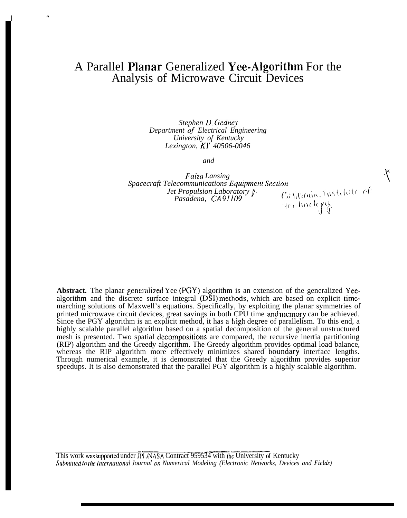# A Parallel Nanar Generalized Yce-Algorithm For the Analysis of Microwave Circuit Devices

 $\frac{u}{2}$ 

*Stephen D. Gcdne) Department of Electrical Engineering University of Kentucky Lexington, KY 40506-0046*

*and*

*."*

*Faiza Lansing \ Spacecraft Telecommunications Equiprnenl Seclion Jet Propulsion Laboratory }*  $\mathcal{C},$ ; \',('ania, 1nstitut $\mathcal{C} \in \mathcal{C}(\mathcal{C})$ *Pasadena, CA 911(19* reclindgry.

Abstract. The planar generalized Yee (PGY) algorithm is an extension of the generalized Yeealgorithm and the discrete surface integral (DSI) methods, which are based on explicit timemarching solutions of Maxwell's equations. Specifically, by exploiting the planar symmetries of printed microwave circuit devices, great savings in both CPU time and memory can be achieved. Since the PGY algorithm is an explicit method, it has a high degree of parallelism. To this end, a highly scalable parallel algorithm based on a spatial decomposition of the general unstructured mesh is presented. Two spatial decompositions are compared, the recursive inertia partitioning (RIP) algorithm and the Greedy algorithm. The Greedy algorithm provides optimal load balance, whereas the RIP algorithm more effectively minimizes shared boundary interface lengths. Through numerical example, it is demonstrated that the Greedy algorithm provides superior speedups. It is also demonstrated that the parallel PGY algorithm is a highly scalable algorithm.

This work was supported under JPL/NASA Contract 959534 with the University of Kentucky *Submitted to the International Journal on Numerical Modeling (Electronic Networks, Devices and Fields)*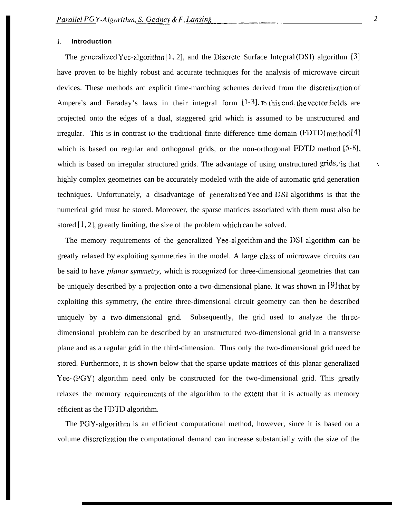#### *1.* **Introduction**

The generalized Yce-algorithm  $[1, 2]$ , and the Discrete Surface Integral (DSI) algorithm  $[3]$ have proven to be highly robust and accurate techniques for the analysis of microwave circuit devices. These methods arc explicit time-marching schemes derived from the discretization of Ampere's and Faraday's laws in their integral form  $\{1\text{-}3\}$ . To this end, the vector fields are projected onto the edges of a dual, staggered grid which is assumed to be unstructured and irregular. This is in contrast to the traditional finite difference time-domain (FDTD) method [4] which is based on regular and orthogonal grids, or the non-orthogonal FDTD method  $[5-8]$ , which is based on irregular structured grids. The advantage of using unstructured grids, is that highly complex geometries can be accurately modeled with the aide of automatic grid generation techniques. Unfortunately, a disadvantage of generalized Yec and 11S1 algorithms is that the numerical grid must be stored. Moreover, the sparse matrices associated with them must also be stored [1, 2], greatly limiting, the size of the problem which can be solved.

The memory requirements of the generalized Yee-algorithm and the DSI algorithm can be greatly relaxed by exploiting symmetries in the model. A large class of microwave circuits can be said to have *planar symmetry*, which is recognized for three-dimensional geometries that can be uniquely described by a projection onto a two-dimensional plane. It was shown in [9] that by exploiting this symmetry, (he entire three-dimensional circuit geometry can then be described uniquely by a two-dimensional grid. Subsequently, the grid used to analyze the threedimensional problem can be described by an unstructured two-dimensional grid in a transverse plane and as a regular gricl in the third-dimension. Thus only the two-dimensional grid need be stored. Furthermore, it is shown below that the sparse update matrices of this planar generalized Yee-(PGY) algorithm need only be constructed for the two-dimensional grid. This greatly relaxes the memory requirements of the algorithm to the extent that it is actually as memory efficient as the FDTD algorithm.

The PGY-algorithm is an efficient computational method, however, since it is based on a volume discretization the computational demand can increase substantially with the size of the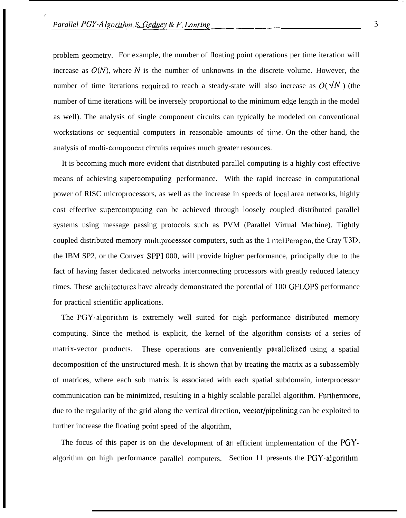1

problem geometry. For example, the number of floating point operations per time iteration will increase as  $O(N)$ , where N is the number of unknowns in the discrete volume. However, the number of time iterations required to reach a steady-state will also increase as  $O(\sqrt{N})$  (the number of time iterations will be inversely proportional to the minimum edge length in the model as well). The analysis of single component circuits can typically be modeled on conventional workstations or sequential computers in reasonable amounts of time. On the other hand, the analysis of multi-component circuits requires much greater resources.

It is becoming much more evident that distributed parallel computing is a highly cost effective means of achieving supercomputing performance. With the rapid increase in computational power of RISC microprocessors, as well as the increase in speeds of local area networks, highly cost effective supercomputing can be achieved through loosely coupled distributed parallel systems using message passing protocols such as PVM (Parallel Virtual Machine). Tightly coupled distributed memory multiprocessor computers, such as the 1 ntel Paragon, the Cray T3D, the IBM SP2, or the Convex SPPI 000, will provide higher performance, principally due to the fact of having faster dedicated networks interconnecting processors with greatly reduced latency times. These architectures have already demonstrated the potential of 100 GFLOPS performance for practical scientific applications.

The PGY-algorithm is extremely well suited for nigh performance distributed memory computing. Since the method is explicit, the kernel of the algorithm consists of a series of matrix-vector products. These operations are conveniently parallelized using a spatial decomposition of the unstructured mesh. It is shown that by treating the matrix as a subassembly of matrices, where each sub matrix is associated with each spatial subdomain, interprocessor communication can be minimized, resulting in a highly scalable parallel algorithm. Furthermore, due to the regularity of the grid along the vertical direction, vector/pipclining can be exploited to further increase the floating point speed of the algorithm,

The focus of this paper is on the development of an efficient implementation of the PGYalgorithm on high performance parallel computers. Section 11 presents the PGY-algorithm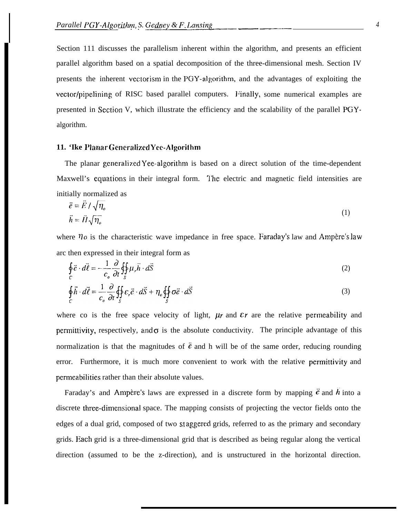Section 111 discusses the parallelism inherent within the algorithm, and presents an efficient parallel algorithm based on a spatial decomposition of the three-dimensional mesh. Section IV presents the inherent vectorism in the PGY-algorithm, and the advantages of exploiting the vector/pipelining of RISC based parallel computers. Finally, some numerical examples are presented in Sccticm V, which illustrate the efficiency and the scalability of the parallel PGYalgorithm.

### 11. 'Ike Planar Generalized Yee-Algorithm

The planar generalized Yee-algorithm is based on a direct solution of the time-dependent Maxwell's equations in their integral form. The electric and magnetic field intensities are initially normalized as

$$
\vec{e} = \vec{E} / \sqrt{\eta_o} \n\vec{h} = \vec{H} \sqrt{\eta_o}
$$
\n(1)

where  $\eta$  is the characteristic wave impedance in free space. Faraday's law and Ampère's law arc then expressed in their integral form as

$$
\oint_C \vec{e} \cdot d\vec{\ell} = -\frac{1}{c_o} \frac{\partial}{\partial t} \oint_{\vec{S}} \mu_r \vec{h} \cdot d\vec{S}
$$
\n(2)

$$
\oint_C \vec{h} \cdot d\vec{\ell} = \frac{1}{c_o} \frac{\partial}{\partial t} \oiint_S \varepsilon_r \vec{e} \cdot d\vec{S} + \eta_o \oiint_S \sigma \vec{e} \cdot d\vec{S}
$$
\n(3)

where co is the free space velocity of light,  $\mu$ r and  $\epsilon$ r are the relative permeability and permittivity, respectively, and  $\sigma$  is the absolute conductivity. The principle advantage of this normalization is that the magnitudes of  $\vec{e}$  and h will be of the same order, reducing rounding error. Furthermore, it is much more convenient to work with the relative permittivity and pcrmeabilities rather than their absolute values.

Faraday's and Ampère's laws are expressed in a discrete form by mapping  $\vec{e}$  and  $\vec{h}$  into a discrete three-dimensional space. The mapping consists of projecting the vector fields onto the edges of a dual grid, composed of two staggered grids, referred to as the primary and secondary grids. Each grid is a three-dimensional grid that is described as being regular along the vertical direction (assumed to be the z-direction), and is unstructured in the horizontal direction.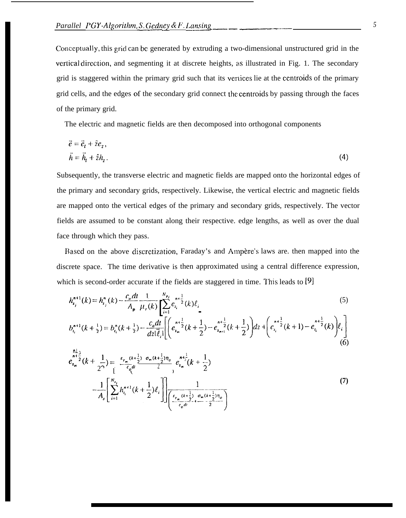Conceptually, this grid can be generated by extruding a two-dimensional unstructured grid in the vertical direction, and segmenting it at discrete heights, as illustrated in Fig. 1. The secondary grid is staggered within the primary grid such that its vertices lie at the centroids of the primary grid cells, and the edges of the secondary grid connect the centroids by passing through the faces of the primary grid.

The electric and magnetic fields are then decomposed into orthogonal components

$$
\vec{e} = \vec{e}_t + \hat{z}e_z,
$$
  
\n
$$
\vec{h} = \vec{h}_t + \hat{z}h_z.
$$
\n(4)

Subsequently, the transverse electric and magnetic fields are mapped onto the horizontal edges of the primary and secondary grids, respectively. Likewise, the vertical electric and magnetic fields are mapped onto the vertical edges of the primary and secondary grids, respectively. The vector fields are assumed to be constant along their respective. edge lengths, as well as over the dual face through which they pass.

Based on the above discretization, Faraday's and Ampère's laws are. then mapped into the discrete space. The time derivative is then approximated using a central difference expression, which is second-order accurate if the fields are staggered in time. This leads to  $[9]$ 

$$
h_{i_j}^{n+1}(k) = h_{i_j}^{n}(k) - \frac{c_o dt}{A_p} \frac{1}{\mu_r(k)} \sum_{i=1}^{N_{p_j}} e_{i_i}^{n+\frac{1}{2}}(k) \ell_{\parallel}
$$
\n
$$
b_{i_i}^{n+1}(k + \frac{1}{2}) = b_{i_i}^{n}(k + \frac{1}{2}) - \frac{c_o dt}{dz |\bar{\ell}_i|} \left[ \left( e_{i_m}^{n+\frac{1}{2}}(k + \frac{1}{2}) - e_{i_{m+1}}^{n+\frac{1}{2}}(k + \frac{1}{2}) \right) dz + \left( e_{i_i}^{n+\frac{1}{2}}(k + 1) - e_{i_i}^{n+\frac{1}{2}}(k) \right) \ell_i \right]
$$
\n(5)

$$
\sum_{i=1}^{n+1} \frac{1}{2}(k + \frac{1}{2^{2}}) = \frac{\varepsilon_{r_{m}}(k + \frac{1}{2}) \sigma_{m}(k + \frac{1}{2})\eta_{o}}{\varepsilon_{o}d^{2}} e_{i_{m}}^{n + \frac{1}{2}}(k + \frac{1}{2})
$$
\n
$$
-\frac{1}{A_{s}} \left[ \sum_{i=1}^{N_{s_{j}}} h_{i_{i}}^{n+1}(k + \frac{1}{2}) \ell_{i} \right] \left[ \frac{1}{\left( \frac{\varepsilon_{r_{m}}(k + \frac{1}{2})}{\varepsilon_{o}d^{2}} + \frac{\sigma_{m}(k + \frac{1}{2})\eta_{o}}{2} \right)} \right]
$$
\n(7)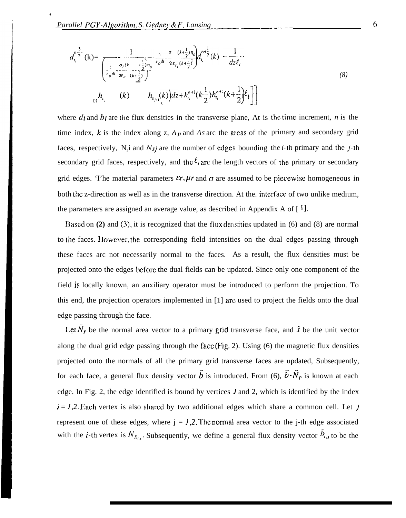:

$$
d_{i_{i}}^{n_{i}^{3}}(k) = \frac{1}{\begin{bmatrix} \frac{1}{c_{o}dt} + \frac{1}{2}\sum_{i=1}^{n} \frac{1}{c_{o}dt} - \frac{1}{2c_{r_{i}}}(k + \frac{1}{2})\eta_{o} \\ \frac{1}{c_{o}dt} + \frac{1}{2c_{o}} - \frac{1}{k + \frac{1}{2}} \end{bmatrix}^{n_{o}}}
$$
\n
$$
d_{i}^{n_{i}}(k) = \frac{1}{dz\ell_{i}}
$$
\n
$$
d_{i}^{n_{i}}(k) = \frac{1}{dz\ell_{i}} \left[ \frac{1}{c_{o}dt} + \frac{1}{2c_{o}} - \frac{1}{k + \frac{1}{2}} \right]^{n_{o}} \left[ \frac{1}{2} + h_{i_{i}}^{n_{i}}(k + \frac{1}{2})h_{i_{i}}^{n+1}(k + \frac{1}{2})\ell_{i} \right]
$$
\n
$$
d_{i}^{n_{i}}(k) = \frac{1}{2c_{o}t} \left[ \frac{1}{2} + h_{i_{i}}^{n+1}(k + \frac{1}{2})h_{i_{i}}^{n+1}(k + \frac{1}{2})\ell_{i} \right]
$$
\n
$$
(8)
$$

where  $dt$  and  $bt$  are the flux densities in the transverse plane, At is the time increment,  $n$  is the time index,  $k$  is the index along z,  $A_p$  and  $As$  arc the areas of the primary and secondary grid faces, respectively,  $N_{p}$  and  $N_{sj}$  are the number of edges bounding the *i*-th primary and the *j*-th secondary grid faces, respectively, and the  $l_i$  are the length vectors of the primary or secondary grid edges. The material parameters  $\epsilon r$ ,  $\mu r$  and  $\sigma$  are assumed to be piecewise homogeneous in both the z-direction as well as in the transverse direction. At the, interface of two unlike medium, the parameters are assigned an average value, as described in Appendix A of  $[1]$ .

Based on (2) and (3), it is recognized that the flux densities updated in (6) and (8) are normal to the faces. <sup>I</sup> lowcver, the corresponding field intensities on the dual edges passing through these faces arc not necessarily normal to the faces. As a result, the flux densities must be projected onto the edges before the dual fields can be updated. Since only one component of the field is locally known, an auxiliary operator must be introduced to perform the projection. To this end, the projection operators implemented in [1] arc used to project the fields onto the dual edge passing through the face.

Let  $\tilde{N}_P$  be the normal area vector to a primary grid transverse face, and  $\hat{s}$  be the unit vector along the dual grid edge passing through the face (Fig. 2). Using  $(6)$  the magnetic flux densities projected onto the normals of all the primary grid transverse faces are updated, Subsequently, for each face, a general flux density vector  $\vec{b}$  is introduced. From (6),  $\vec{b} \cdot \vec{N}_P$  is known at each edge. In Fig. 2, the edge identified is bound by vertices  $\hat{I}$  and 2, which is identified by the index  $i = 1.2$ . Each vertex is also shared by two additional edges which share a common cell. Let j represent one of these edges, where  $j = 1,2$ . The normal area vector to the j-th edge associated with the *i*-th vertex is  $N_{D_{i,j}}$ . Subsequently, we define a general flux density vector  $\vec{b}_{i,j}$  to be the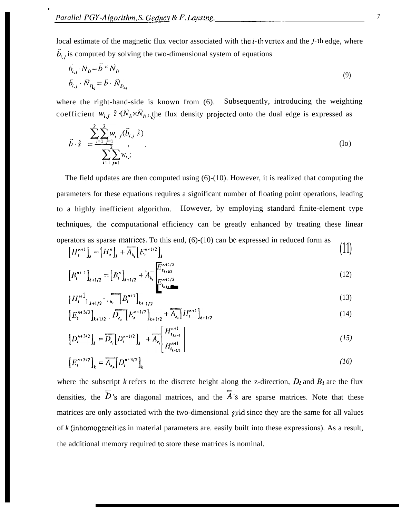t

local estimate of the magnetic flux vector associated with the  $i$ -th vertex and the  $j$ -th edge, where  $\ddot{b}_{i,j}$  is computed by solving the two-dimensional system of equations

$$
\vec{b}_{i,j} \cdot \vec{N}_D = \vec{b} \cdot \vec{N}_D
$$
\n
$$
\vec{b}_{i,j} \cdot \vec{N}_{R_{ij}} = \vec{b} \cdot \vec{N}_{D_{i,j}}
$$
\n(9)

where the right-hand-side is known from (6). Subsequently, introducing the weighting coefficient  $w_{i,j}$   $\hat{z}$   $(N_p \times N_{p_i})$ , the flux density projected onto the dual edge is expressed as

$$
\vec{b} \cdot \hat{s} = \frac{\sum_{i=1}^{2} \sum_{j=1}^{2} w_{i}}{\sum_{i=1}^{2} \sum_{j=1}^{2} w_{i}}.
$$
 (lo)

The field updates are then computed using (6)-(10). However, it is realized that computing the parameters for these equations requires a significant number of floating point operations, leading to a highly inefficient algorithm. However, by employing standard finite-element type techniques, the computational efficiency can be greatly enhanced by treating these linear operators as sparse matrices. To this end,  $(6)-(10)$  can be expressed in reduced form as

$$
[H_i^{n+1}]_k = [H_i^n]_k + \overline{A_{h_i}} [E_i^{n+1/2}]_k
$$
 (11)

$$
\left[B_i^{n+1}\right]_{k+1/2} = \left[B_i^n\right]_{k+1/2} + \overline{A}_{h_i} \begin{bmatrix} E_{z_{k+1/2}}^{n+1/2} \\ \vdots \\ E_{z_{k+1}}^{n+1/2} \end{bmatrix} \tag{12}
$$

$$
\left\{H_t^{n+1}\right\}_{k+1/2} = \sum_{(h)} \left[B_t^{n+1}\right]_{k+1/2} \qquad (13)
$$

$$
\left[E_i^{n+3/2}\right]_{k+1/2} \cdot \overline{D_{\epsilon_i}} \left[E_i^{n+1/2}\right]_{k+1/2} + \overline{A_{\epsilon_i}} \left[H_i^{n+1}\right]_{k+1/2} \tag{14}
$$

$$
\left[D_i^{n+3/2}\right]_k = \overline{D_{\epsilon_i}} \left[D_i^{n+1/2}\right]_k + \overline{A_{\epsilon_i}} \left[\begin{array}{c} H_{\epsilon_{k+1}}^{n+1} \\ H_{\epsilon_{k+1/2}}^{n+1} \end{array}\right] \tag{15}
$$

$$
\left[E_t^{n+3/2}\right]_k = \overline{A_{\epsilon_p}} \left[D_t^{n+3/2}\right]_k \tag{16}
$$

where the subscript *k* refers to the discrete height along the z-direction,  $D_t$  and  $B_t$  are the flux densities, the  $\overline{\overline{D}}$ 's are diagonal matrices, and the  $\overline{\overline{A}}$ 's are sparse matrices. Note that these matrices are only associated with the two-dimensional grid since they are the same for all values of *k* (inhomogeneities in material parameters are. easily built into these expressions). As a result, the additional memory required to store these matrices is nominal.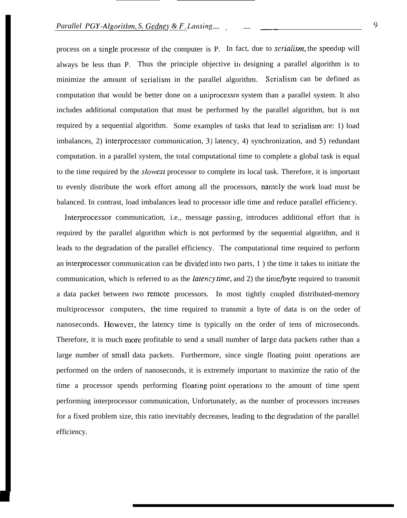process on a single processor of the computer is P. In fact, due to *serialisrn,* the speedup will always be less than P. Thus the principle objective in designing a parallel algorithm is to minimize the amount of serialism in the parallel algorithm. Serialism can be defined as computation that would be better done on a uniprocessol system than a parallel system. It also includes additional computation that must be performed by the parallel algorithm, but is not required by a sequential algorithm. Some examples of tasks that lead to serialism are: 1) load imbalances, 2) interprocessor communication, 3) latency, 4) synchronization, and 5) redundant computation. in a parallel system, the total computational time to complete a global task is equal to the time required by the slowest processor to complete its local task. Therefore, it is important to evenly distribute the work effort among all the processors, namely the work load must be balanced. In contrast, load imbalances lead to processor idle time and reduce parallel efficiency.

Interprocessor communication, i.e., message passing, introduces additional effort that is required by the parallel algorithm which is not performed by the sequential algorithm, and it leads to the degradation of the parallel efficiency. The computational time required to perform an interprocessor communication can be clivided into two parts, 1 ) the time it takes to initiate the communication, which is referred to as the *latency time*, and 2) the time/byte required to transmit a data packet between two remote processors. In most tightly coupled distributed-memory multiprocessor computers, the time required to transmit a byte of data is on the order of nanoseconds. However, the latency time is typically on the order of tens of microseconds. Therefore, it is much more profitable to send a small number of large data packets rather than a large number of small data packets. Furthermore, since single floating point operations are performed on the orders of nanoseconds, it is extremely important to maximize the ratio of the time a processor spends performing floating point operations to the amount of time spent performing interprocessor communication, Unfortunately, as the number of processors increases for a fixed problem size, this ratio inevitably decreases, leading to the degradation of the parallel efficiency.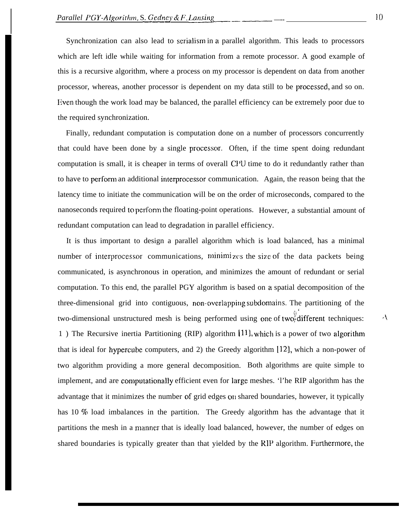Synchronization can also lead to serialism in a parallel algorithm. This leads to processors which are left idle while waiting for information from a remote processor. A good example of this is a recursive algorithm, where a process on my processor is dependent on data from another processor, whereas, another processor is dependent on my data still to be processed, and so on. Even though the work load may be balanced, the parallel efficiency can be extremely poor due to the required synchronization.

Finally, redundant computation is computation done on a number of processors concurrently that could have been done by a single processcm. Often, if the time spent doing redundant computation is small, it is cheaper in terms of overall CPU time to do it redundantly rather than to have to perform an additional interprocessor communication. Again, the reason being that the latency time to initiate the communication will be on the order of microseconds, compared to the nanoseconds required to perform the floating-point operations. However, a substantial amount of redundant computation can lead to degradation in parallel efficiency.

It is thus important to design a parallel algorithm which is load balanced, has a minimal number of interprocessor communications, minimizes the size of the data packets being communicated, is asynchronous in operation, and minimizes the amount of redundant or serial computation. To this end, the parallel PGY algorithm is based on a spatial decomposition of the three-dimensional grid into contiguous, non-overlapping subdomains. The partitioning of the two-dimensional unstructured mesh is being performed using one of two-different techniques: 1) The Recursive inertia Partitioning (RIP) algorithm [11], which is a power of two algorithm that is ideal for hypercube computers, and 2) the Greedy algorithm  $[12]$ , which a non-power of two algorithm providing a more general decomposition. Both algorithms are quite simple to implement, and are computationally efficient even for large meshes. 'l'he RIP algorithm has the advantage that it minimizes the number of grid edges on shared boundaries, however, it typically has 10 % load imbalances in the partition. The Greedy algorithm has the advantage that it partitions the mesh in a manner that is ideally load balanced, however, the number of edges on shared boundaries is typically greater than that yielded by the RIP algorithm. Furthermore, the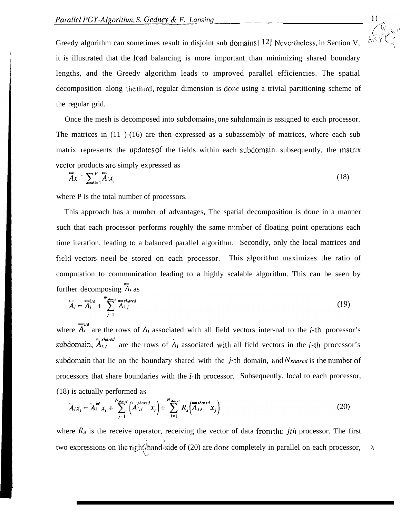

Greedy algorithm can sometimes result in disjoint sub domains [12]. Nevertheless, in Section V, it is illustrated that the load balancing is more important than minimizing shared boundary lengths, and the Greedy algorithm leads to improved parallel efficiencies. The spatial decomposition along the third, regular dimension is donr using a trivial partitioning scheme of the regular grid.

Once the mesh is decomposed into subdomains, one subdomain is assigned to each processor. The matrices in (11 )-(16) are then expressed as a subassembly of matrices, where each sub matrix represents the updates of the fields within each subdomain. subsequently, the matrix vector products are simply expressed as

$$
\overline{A}x = \sum_{i=1}^{P} \overline{\tilde{A}}_i x_i
$$
 (18)

where P is the total number of processors.

This approach has a number of advantages, The spatial decomposition is done in a manner such that each processor performs roughly the same number of floating point operations each time iteration, leading to a balanced parallel algorithm. Secondly, only the local matrices and field vectors need be stored on each processor. This algorithm maximizes the ratio of computation to communication leading to a highly scalable algorithm. This can be seen by<br>factor deconomies  $\overline{A}$ further decomposing  $\overline{A}_i$  as

$$
\overline{\overline{A}}_i = \overline{\overline{A}}_i^{\text{int}} + \sum_{j=1}^{N_{\text{shored}}} \overline{\overline{A}}_{i,j}^{\text{shared}}
$$
 (19)

where  $\overline{A}_i^{\text{int}}$  are the rows of  $A_i$  associated with all field vectors inter-nal to the *i*-th processor's subdomain,  $\overline{A}_{i,j}$  are the rows of  $\overline{A}_i$  associated with all field vectors in the *i*-th processor's subdomain that lie on the boundary shared with the j-th domain, and  $N_{shared}$  is the number of processors that share boundaries with the  $i$ -th processor. Subsequently, local to each processor, (18) is actually performed as

$$
\overline{\overline{A}}_i x_i = \overline{A}_i^{\text{int}} x_i + \sum_{j=1}^{N_{\text{shared}}} \left( \overline{A}_{i,j}^{\text{shared}} x_i \right) + \sum_{j=1}^{N_{\text{shord}}} R_x \left( \overline{A}_{j,i}^{\text{shared}} x_j \right)
$$
(20)

where  $R_x$  is the receive operator, receiving the vector of data from the *jth* processor. The first ,, two expressions on the right<sup>2</sup> hand<sup>2</sup> side of (20) are done completely in parallel on each processor,  $\frac{1}{2}$  hand-side of (20) are done completely in parallel on each processor,  $\lambda$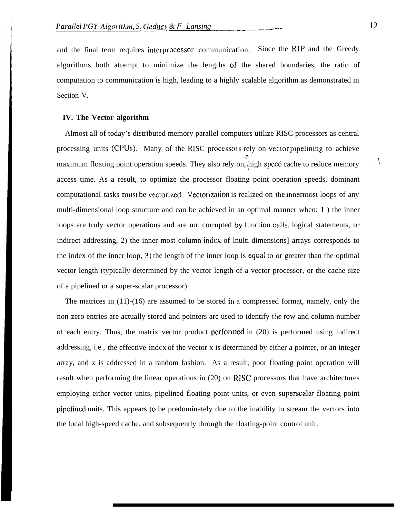and the final term requires interprocessor communication. Since the RIP and the Greedy algorithms both attempt to minimize the lengths of the shared boundaries, the ratio of computation to communication is high, leading to a highly scalable algorithm as demonstrated in Section V.

#### **IV. The Vector algorithm**

I

Almost all of today's distributed memory parallel computers utilize RISC processors as central processing units (CPUs). Many of the RISC processors rely on vector pipelining to achieve (, maximum floating point operation speeds. They also rely on, high speed cache to reduce memory access time. As a result, to optimize the processor floating point operation speeds, dominant computational tasks must be vectorized. Vectorization is realized on the innermost loops of any multi-dimensional loop structure and can be achieved in an optimal manner when: 1 ) the inner loops are truly vector operations and are not corrupted by function calls, logical statements, or indirect addressing, 2) the inner-most column index of lnulti-dimensions] arrays corresponds to the index of the inner loop,  $\overline{3}$ ) the length of the inner loop is equal to or greater than the optimal vector length (typically determined by the vector length of a vector processor, or the cache size of a pipelined or a super-scalar processor).

The matrices in  $(11)-(16)$  are assumed to be stored in a compressed format, namely, only the non-zero entries are actually stored and pointers are used to identify the row and column number of each entry. Thus, the matrix vector product perforined in (20) is performed using indirect addressing, i.e., the effective index of the vector x is determined by either a pointer, or an integer array, and x is addressed in a random fashion. As a result, poor floating point operation will result when performing the linear operations in (20) on RISC processors that have architectures employing either vector units, pipelined floating point units, or even superscalar floating point pipelined units. This appears to be predominately due to the inability to stream the vectors into the local high-speed cache, and subsequently through the floating-point control unit.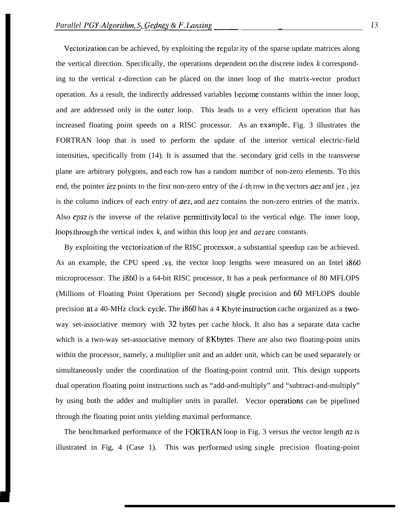Vectorization can be achieved, by exploiting the regulal ity of the sparse update matrices along the vertical direction. Specifically, the operations dependent on the discrete index *k* corresponding to the vertical z-direction can be placed on the inner loop of the matrix-vector product operation. As a result, the indirectly addressed variables become constants within the inner loop, and are addressed only in the outer loop. This leads to a very efficient operation that has increased floating point speeds on a RISC processor. As an example, Fig. 3 illustrates the FORTRAN loop that is used to perform the update of the interior vertical electric-field intensities, specifically from (14). It is assumed that the. secondary grid cells in the transverse plane are arbitrary polygons, ancl each row has a random nurnbcr of non-zero elements. To this end, the pointer *iez* points to the first non-zero entry of the i-th row in the vectors *aez* and jez , jez is the column indices of each entry of *aez,* and *acz* contains the non-zero entries of the matrix. Also *epsz* is the inverse of the relative permittivity local to the vertical edge. The inner loop, loops through the vertical index *k*, and within this loop jez and *aez* are constants.

By exploiting the vectorization of the RISC processor, a substantial speedup can be achieved. As an example, the CPU speed .VS. the vector loop lengths were measured on an Intel i860 microprocessor. The i860 is a 64-bit RISC processor, It has a peak performance of 80 MFLOPS (Millions of Floating Point Operations per Second) siligle precision and 60 MFLOPS double precision at a 40-MHz clock cycle. The i860 has a 4 Kbyte instruction cache organized as a twoway set-associative memory with 32 bytes per cache block. It also has a separate data cache which is a two-way set-associative memory of 8 Kbytes. There are also two floating-point units within the processor, namely, a multiplier unit and an adder unit, which can be used separately or simultaneously under the coordination of the floating-point control unit. This design supports dual operation floating point instructions such as "add-and-multiply" and "subtract-and-multiply" by using both the adder and multiplier units in parallel. Vector operations can be pipelined through the floating point units yielding maximal performance.

The benchmarked performance of the FORTRAN loop in Fig. 3 versus the vector length *nz* is illustrated in Fig,  $4$  (Case 1). This was performed using single precision floating-point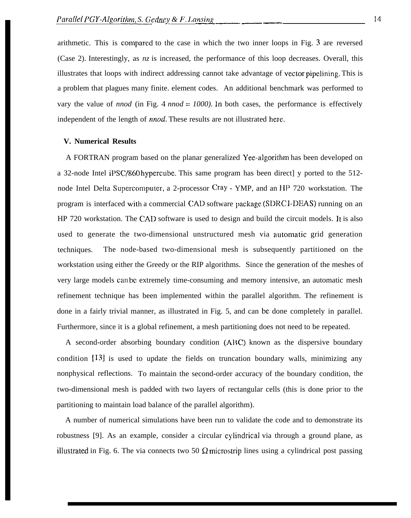arithmetic. This is compared to the case in which the two inner loops in Fig.  $\overline{3}$  are reversed (Case 2). Interestingly, as *nz* is increased, the performance of this loop decreases. Overall, this illustrates that loops with indirect addressing cannot take advantage of vector pipelining. This is a problem that plagues many finite. element codes. An additional benchmark was performed to vary the value of *nnod* (in Fig. 4 *nnod*  $= 1000$ ). In both cases, the performance is effectively independent of the length of *nnod.* These results are not illustrated here..

## **V. Numerical Results**

A FORTRAN program based on the planar generalized Yee-algorithm has been developed on a 32-node Intel iPSC/860 hypercube. This same program has been direct] y ported to the 512 node Intel Delta Supercomputer, a 2-processor Cray - YMP, and an 11P 720 workstation. The program is interfaced with a commercial CAD software package (SDRC I-DEAS) running on an HP 720 workstation. The CAD software is used to design and build the circuit models. It is also used to generate the two-dimensional unstructured mesh via automatic grid generation techniques. The node-based two-dimensional mesh is subsequently partitioned on the workstation using either the Greedy or the RIP algorithms. Since the generation of the meshes of very large models can be extremely time-consuming and memory intensive, an automatic mesh refinement technique has been implemented within the parallel algorithm. The refinement is done in a fairly trivial manner, as illustrated in Fig. 5, and can bc done completely in parallel. Furthermore, since it is a global refinement, a mesh partitioning does not need to be repeated.

A second-order absorbing boundary condition (ABC) known as the dispersive boundary condition [131 is used to update the fields on truncation boundary walls, minimizing any nonphysical reflections. To maintain the second-order accuracy of the boundary condition, the two-dimensional mesh is padded with two layers of rectangular cells (this is done prior to the partitioning to maintain load balance of the parallel algorithm).

A number of numerical simulations have been run to validate the code and to demonstrate its robustness [9]. As an example, consider a circular cylindrical via through a ground plane, as illustrated in Fig. 6. The via connects two 50  $\Omega$  microstrip lines using a cylindrical post passing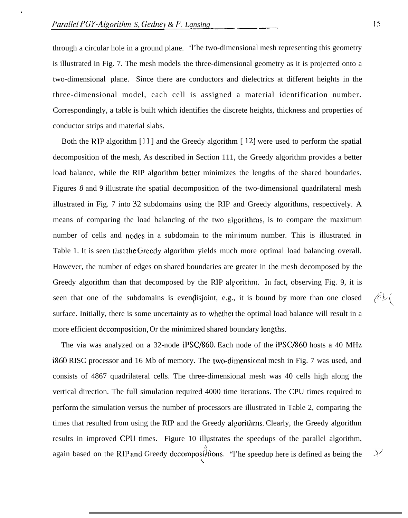.

through a circular hole in a ground plane. 'l'he two-dimensional mesh representing this geometry is illustrated in Fig. 7. The mesh models the three-dimensional geometry as it is projected onto a two-dimensional plane. Since there are conductors and dielectrics at different heights in the three-dimensional model, each cell is assigned a material identification number. Correspondingly, a table is built which identifies the discrete heights, thickness and properties of conductor strips and material slabs.

Both the RIP algorithm [11 ] and the Greedy algorithm [ 12] were used to perform the spatial decomposition of the mesh, As described in Section 111, the Greedy algorithm provides a better load balance, while the RIP algorithm better minimizes the lengths of the shared boundaries. Figures 8 and 9 illustrate the spatial decomposition of the two-dimensional quadrilateral mesh illustrated in Fig. 7 into 32 subdomains using the RIP and Greedy algorithms, respectively. A means of comparing the load balancing of the two algorithms, is to compare the maximum number of cells and nodes in a subdomain to the minimum number. This is illustrated in Table 1. It is seen that the Greedy algorithm yields much more optimal load balancing overall. However, the number of edges cm shared boundaries are greater in the mesh decomposed by the Greedy algorithm than that decomposed by the RIP algorithm. In fact, observing Fig. 9, it is seen that one of the subdomains is even disjoint, e.g., it is bound by more than one closed  $\bigcirc$ surface. Initially, there is some uncertainty as to whether the optimal load balance will result in a more efficient decomposition, Or the minimized shared boundary lengths.

The via was analyzed on a 32-node iPSC/860. Each node of the iPSC/860 hosts a 40 MHz i860 RISC processor and 16 Mb of memory. The two-dimensicmal mesh in Fig. 7 was used, and consists of 4867 quadrilateral cells. The three-dimensional mesh was 40 cells high along the vertical direction. The full simulation required 4000 time iterations. The CPU times required to perform the simulation versus the number of processors are illustrated in Table 2, comparing the times that resulted from using the RIP and the Greedy algorithms. Clearly, the Greedy algorithm results in improved CPU times. Figure 10 illustrates the speedups of the parallel algorithm, again based on the RIP and Greedy decomposi<sup>3</sup>tions. "I'he speedup here is defined as being the

L

oj,,::  $\bigwedge$ 

 $\mathcal{N}$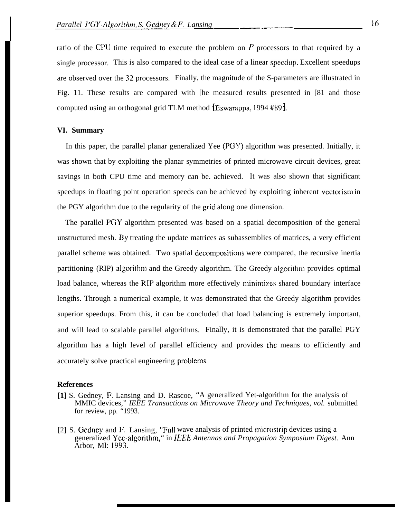ratio of the CPU time required to execute the problem on  $P$  processors to that required by a single processor. This is also compared to the ideal case of a linear specdup. Excellent speedups are observed over the 32 processors. Finally, the magnitude of the S-parameters are illustrated in Fig. 11. These results are compared with [he measured results presented in [81 and those computed using an orthogonal grid TLM method [Eswarappa, 1994 #89].

## **VI. Summary**

In this paper, the parallel planar generalized Yee (PGY) algorithm was presented. Initially, it was shown that by exploiting the planar symmetries of printed microwave circuit devices, great savings in both CPU time and memory can be. achieved. It was also shown that significant speedups in floating point operation speeds can be achieved by exploiting inherent vectorism in the PGY algorithm due to the regularity of the grid along one dimension.

The parallel PGY algorithm presented was based on a spatial decomposition of the general unstructured mesh. By treating the update matrices as subassemblies of matrices, a very efficient parallel scheme was obtained. Two spatial decompositions were compared, the recursive inertia partitioning (RIP) algorithm and the Greedy algorithm. The Greedy algorithm provides optimal load balance, whereas the RIP algorithm more effectively minimizes shared boundary interface lengths. Through a numerical example, it was demonstrated that the Greedy algorithm provides superior speedups. From this, it can be concluded that load balancing is extremely important, and will lead to scalable parallel algorithms. Finally, it is demonstrated that the parallel PGY algorithm has a high level of parallel efficiency and provides the means to efficiently and accurately solve practical engineering problems.

## **References**

- **[1]** S. Gedney, F. Lansing and D. Rascoe, "A generalized Yet-algorithm for the analysis of MMIC devices," *IEEE Transactions on Microwave Theory and Techniques, vol.* submitted for review, pp. "1993.
- [2] S. Gedney and F. Lansing, "Full wave analysis of printed microstrip devices using a generalized Yee-algorithm, " in IEEE *Antennas and Propagation Symposium Digest.* Ann Arbor, Ml: 1993.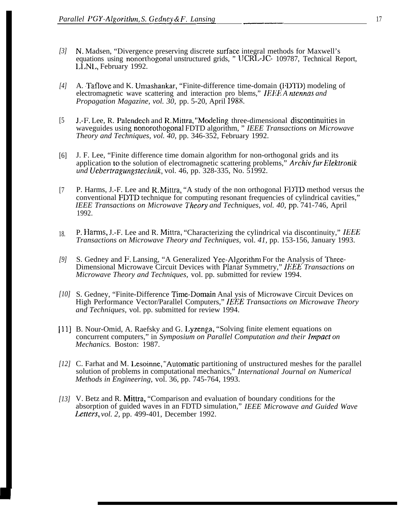- *[3]* N. Madsen, "Divergence preserving discrete surface integral methods for Maxwell's equations using nonorthogonal unstructured grids, " lJCRL-JC- 109787, Technical Report, LLNL, February 1992.
- *[4]* A. Taflove and K. Umashankar, "Finite-difference time-domain (l:IYI'D) modeling of electromagnetic wave scattering and interaction pro blems," IEEE A ntennas and *Propagation Magazine, vol. 30,* pp. 5-20, April 1988.
- [5 J.-F. Lee, R. Palendech and R. Mittra, "Modeling three-dimensional discontinuities in waveguides using nonorothogonal FDTD algorithm, " *IEEE Transactions on Microwave Theory and Techniques, vol. 40,* pp. 346-352, February 1992.
- [6] J. F. Lee, "Finite difference time domain algorithm for non-orthogonal grids and its application to the solution of electromagnetic scattering problems," *Archiv fur Elektronik und Uebcrtragungstechnik,* vol. 46, pp. 328-335, No. 51992.
- [7 P. Harms, J.-F. Lee and R. Mittra, "A study of the non orthogonal FI)TD method versus the conventional FDTD technique for computing resonant frequencies of cylindrical cavities," *IEEE Transactions on Microwave Theory and Techniques, vol. 40, pp. 741-746, April* 1992.
- 18. P. Ham~s, J.-F. Lee and R. Mittra, "Characterizing the cylindrical via discontinuity," *IEEE Transactions on Microwave Theory and Techniques,* vol. *41,* pp. 153-156, January 1993.
- *[9]* S. Gedney and F. Lansing, "A Generalized Yee-Algorithm For the Analysis of Three-Dimensional Microwave Circuit Devices with Planar Symmetry," *IEEE Transactions on Microwave Theory and Techniques,* vol. pp. submitted for review 1994.
- [10] S. Gedney, "Finite-Difference Time-Domain Anal ysis of Microwave Circuit Devices on High Performance Vector/Parallel Computers," *IEEE Transactions on Microwave Theory and Techniques,* vol. pp. submitted for review 1994.
- *Ill]* B. Nour-Omid, A. Raefsky and G. Lyzenga, "Solving finite element equations on concurrent computers," in *Symposium on Parallel Computation and their Impact on Mechanics.* Boston: 1987.
- [12] C. Farhat and M. Lesoinne, "Automatic partitioning of unstructured meshes for the parallel solution of problems in computational mechanics," *International Journal on Numerical Methods in Engineering,* vol. 36, pp. 745-764, 1993.
- *[13]* V. Betz and R. Mittra, "Comparison and evaluation of boundary conditions for the absorption of guided waves in an FDTD simulation," *IEEE Microwave and Guided Wave* Letters, vol. 2, pp. 499-401, December 1992.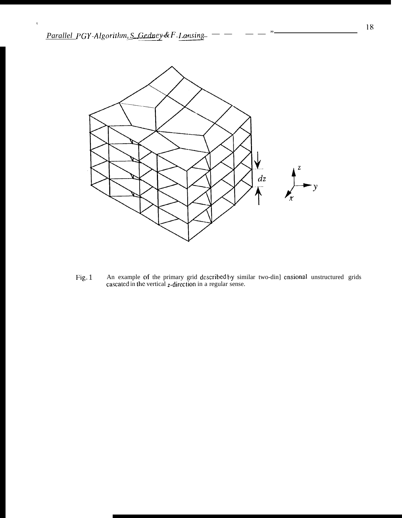$\hat{\mathbf{v}}$ 



An example of the primary grid described by similar two-din] ensional unstructured grids cascated in the vertical z-direction in a regular sense. Fig. 1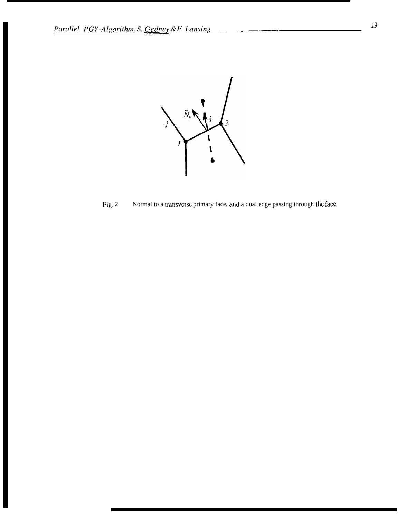

 $Fig. 2$ Normal to a transverse primary face, and a dual edge passing through the face.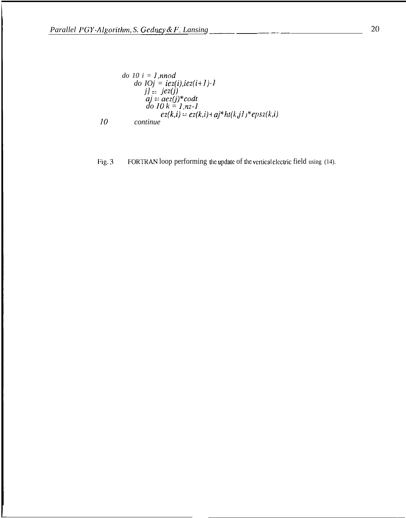${\it 10}$ 

$$
do 10 i = 1, nnod
$$
  
\n
$$
do 10j = ie2(i), ie2(i+1)-1
$$
  
\n
$$
j] = ie2(j)
$$
  
\n
$$
aj = ae2(j)*codt
$$
  
\n
$$
do 10 k = 1, nz-1
$$
  
\n
$$
ez(k,i) = ez(k,i) + aj*ht(kj1)*eps2(k,i)
$$
  
\n*continue*

FORTRAN loop performing the update of the vertical electric field using (14). Fig. 3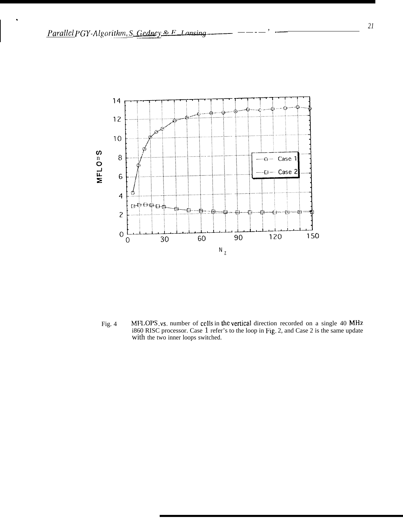

MFLOPS vs. number of cells in the vertical direction recorded on a single 40 MHz Fig. 4 i860 RISC processor. Case 1 refer's to the loop in Fig. 2, and Case 2 is the same update with the two inner loops switched.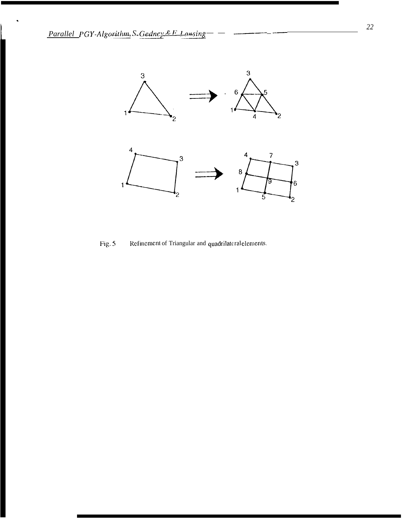

Fig. 5 Refinement of Triangular and quadrilateral elements.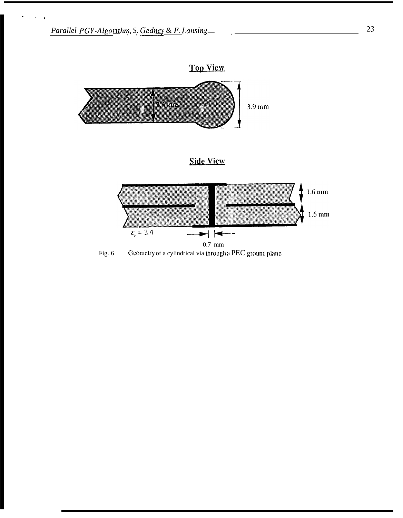

Fig. 6 Geometry of a cylindrical via through a PEC ground plane.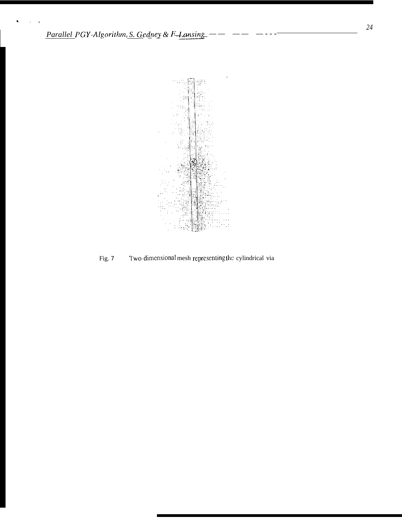

Two-dimensional mesh representing the cylindrical via Fig. 7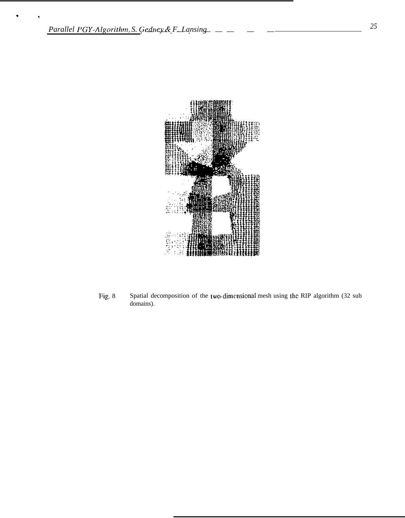

Fig. 8 Spatial decomposition of the two-dimensional mesh using the RIP algorithm (32 sub domains).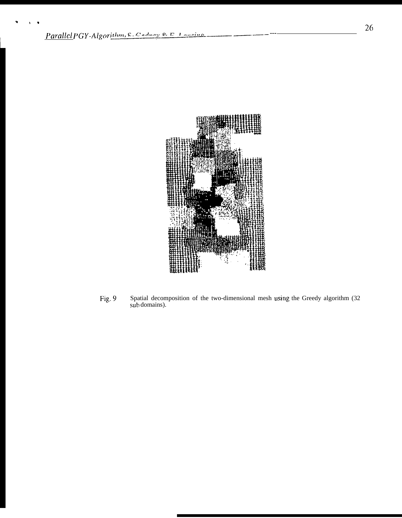

Spatial decomposition of the two-dimensional mesh using the Greedy algorithm (32 sub domains). Fig. 9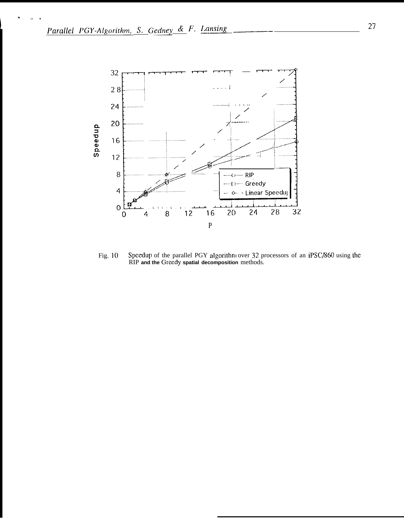

Speedup of the parallel PGY algorithm over 32 processors of an iPSC/860 using the RIP and the Greedy spatial decomposition methods. Fig. 10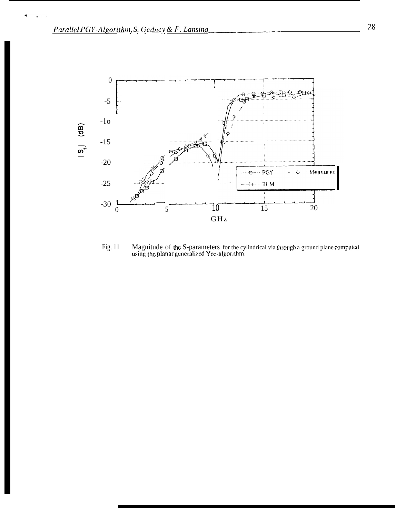

Magnitude of the S-parameters for the cylindrical via through a ground plane computed using the planar generalized Yee-algorithm. Fig. 11